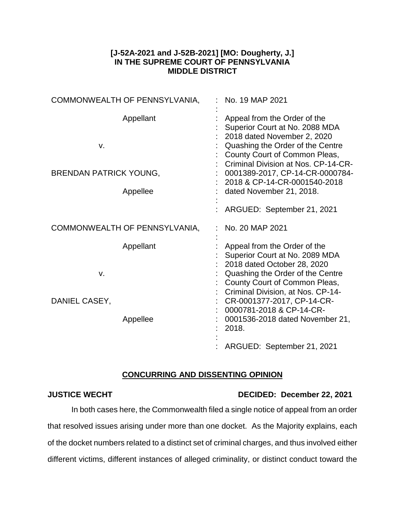## **[J-52A-2021 and J-52B-2021] [MO: Dougherty, J.] IN THE SUPREME COURT OF PENNSYLVANIA MIDDLE DISTRICT**

| COMMONWEALTH OF PENNSYLVANIA,                    | No. 19 MAP 2021                                                                                                                                                                                                                                                              |
|--------------------------------------------------|------------------------------------------------------------------------------------------------------------------------------------------------------------------------------------------------------------------------------------------------------------------------------|
| Appellant<br>v.<br><b>BRENDAN PATRICK YOUNG,</b> | Appeal from the Order of the<br>Superior Court at No. 2088 MDA<br>2018 dated November 2, 2020<br>Quashing the Order of the Centre<br>County Court of Common Pleas,<br>Criminal Division at Nos. CP-14-CR-<br>0001389-2017, CP-14-CR-0000784-<br>2018 & CP-14-CR-0001540-2018 |
| Appellee                                         | dated November 21, 2018.                                                                                                                                                                                                                                                     |
|                                                  | ARGUED: September 21, 2021                                                                                                                                                                                                                                                   |
| COMMONWEALTH OF PENNSYLVANIA,                    | No. 20 MAP 2021                                                                                                                                                                                                                                                              |
| Appellant<br>V.                                  | Appeal from the Order of the<br>Superior Court at No. 2089 MDA<br>2018 dated October 28, 2020<br>Quashing the Order of the Centre<br>County Court of Common Pleas,                                                                                                           |
| DANIEL CASEY,<br>Appellee                        | Criminal Division, at Nos. CP-14-<br>CR-0001377-2017, CP-14-CR-<br>0000781-2018 & CP-14-CR-<br>0001536-2018 dated November 21,<br>2018.                                                                                                                                      |
|                                                  | ARGUED: September 21, 2021                                                                                                                                                                                                                                                   |

## **CONCURRING AND DISSENTING OPINION**

## **JUSTICE WECHT DECIDED: December 22, 2021**

In both cases here, the Commonwealth filed a single notice of appeal from an order that resolved issues arising under more than one docket. As the Majority explains, each of the docket numbers related to a distinct set of criminal charges, and thus involved either different victims, different instances of alleged criminality, or distinct conduct toward the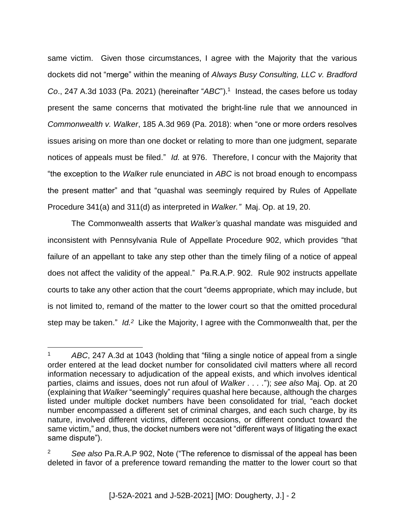same victim. Given those circumstances, I agree with the Majority that the various dockets did not "merge" within the meaning of *Always Busy Consulting, LLC v. Bradford Co*., 247 A.3d 1033 (Pa. 2021) (hereinafter "*ABC*"). 1 Instead, the cases before us today present the same concerns that motivated the bright-line rule that we announced in *Commonwealth v. Walker*, 185 A.3d 969 (Pa. 2018): when "one or more orders resolves issues arising on more than one docket or relating to more than one judgment, separate notices of appeals must be filed." *Id.* at 976. Therefore, I concur with the Majority that "the exception to the *Walker* rule enunciated in *ABC* is not broad enough to encompass the present matter" and that "quashal was seemingly required by Rules of Appellate Procedure 341(a) and 311(d) as interpreted in *Walker."* Maj. Op. at 19, 20.

The Commonwealth asserts that *Walker's* quashal mandate was misguided and inconsistent with Pennsylvania Rule of Appellate Procedure 902, which provides "that failure of an appellant to take any step other than the timely filing of a notice of appeal does not affect the validity of the appeal." Pa.R.A.P. 902. Rule 902 instructs appellate courts to take any other action that the court "deems appropriate, which may include, but is not limited to, remand of the matter to the lower court so that the omitted procedural step may be taken." *Id.<sup>2</sup>* Like the Majority, I agree with the Commonwealth that, per the

 $\overline{a}$ 

<sup>1</sup> *ABC*, 247 A.3d at 1043 (holding that "filing a single notice of appeal from a single order entered at the lead docket number for consolidated civil matters where all record information necessary to adjudication of the appeal exists, and which involves identical parties, claims and issues, does not run afoul of *Walker . . . .*"); *see also* Maj. Op. at 20 (explaining that *Walker* "seemingly" requires quashal here because, although the charges listed under multiple docket numbers have been consolidated for trial, "each docket number encompassed a different set of criminal charges, and each such charge, by its nature, involved different victims, different occasions, or different conduct toward the same victim," and, thus, the docket numbers were not "different ways of litigating the exact same dispute").

<sup>2</sup> *See also* Pa.R.A.P 902, Note ("The reference to dismissal of the appeal has been deleted in favor of a preference toward remanding the matter to the lower court so that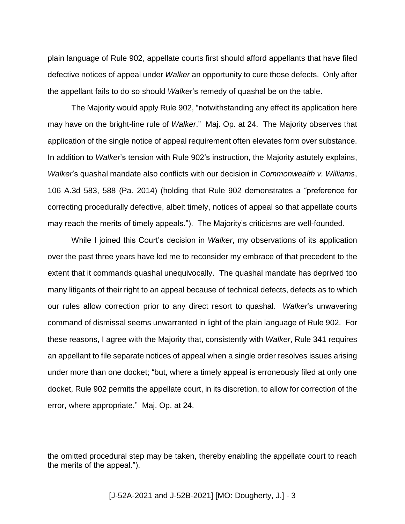plain language of Rule 902, appellate courts first should afford appellants that have filed defective notices of appeal under *Walker* an opportunity to cure those defects. Only after the appellant fails to do so should *Walker*'s remedy of quashal be on the table.

The Majority would apply Rule 902, "notwithstanding any effect its application here may have on the bright-line rule of *Walker*." Maj. Op. at 24. The Majority observes that application of the single notice of appeal requirement often elevates form over substance. In addition to *Walker*'s tension with Rule 902's instruction, the Majority astutely explains, *Walker*'s quashal mandate also conflicts with our decision in *Commonwealth v. Williams*, 106 A.3d 583, 588 (Pa. 2014) (holding that Rule 902 demonstrates a "preference for correcting procedurally defective, albeit timely, notices of appeal so that appellate courts may reach the merits of timely appeals."). The Majority's criticisms are well-founded.

While I joined this Court's decision in *Walker*, my observations of its application over the past three years have led me to reconsider my embrace of that precedent to the extent that it commands quashal unequivocally. The quashal mandate has deprived too many litigants of their right to an appeal because of technical defects, defects as to which our rules allow correction prior to any direct resort to quashal. *Walker*'s unwavering command of dismissal seems unwarranted in light of the plain language of Rule 902. For these reasons, I agree with the Majority that, consistently with *Walker*, Rule 341 requires an appellant to file separate notices of appeal when a single order resolves issues arising under more than one docket; "but, where a timely appeal is erroneously filed at only one docket, Rule 902 permits the appellate court, in its discretion, to allow for correction of the error, where appropriate." Maj. Op. at 24.

 $\overline{a}$ 

the omitted procedural step may be taken, thereby enabling the appellate court to reach the merits of the appeal.").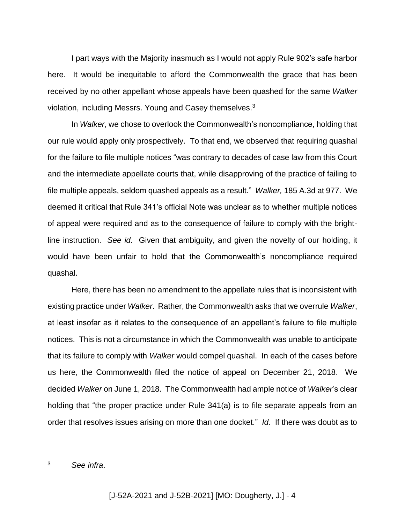I part ways with the Majority inasmuch as I would not apply Rule 902's safe harbor here. It would be inequitable to afford the Commonwealth the grace that has been received by no other appellant whose appeals have been quashed for the same *Walker* violation, including Messrs. Young and Casey themselves.<sup>3</sup>

In *Walker*, we chose to overlook the Commonwealth's noncompliance, holding that our rule would apply only prospectively. To that end, we observed that requiring quashal for the failure to file multiple notices "was contrary to decades of case law from this Court and the intermediate appellate courts that, while disapproving of the practice of failing to file multiple appeals, seldom quashed appeals as a result." *Walker,* 185 A.3d at 977. We deemed it critical that Rule 341's official Note was unclear as to whether multiple notices of appeal were required and as to the consequence of failure to comply with the brightline instruction. *See id*. Given that ambiguity, and given the novelty of our holding, it would have been unfair to hold that the Commonwealth's noncompliance required quashal.

Here, there has been no amendment to the appellate rules that is inconsistent with existing practice under *Walker*. Rather, the Commonwealth asks that we overrule *Walker*, at least insofar as it relates to the consequence of an appellant's failure to file multiple notices. This is not a circumstance in which the Commonwealth was unable to anticipate that its failure to comply with *Walker* would compel quashal. In each of the cases before us here, the Commonwealth filed the notice of appeal on December 21, 2018. We decided *Walker* on June 1, 2018. The Commonwealth had ample notice of *Walker*'s clear holding that "the proper practice under Rule 341(a) is to file separate appeals from an order that resolves issues arising on more than one docket." *Id*. If there was doubt as to

 $\overline{3}$ <sup>3</sup> *See infra*.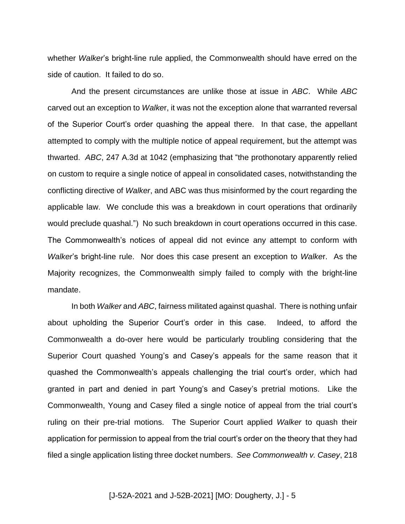whether *Walker*'s bright-line rule applied, the Commonwealth should have erred on the side of caution. It failed to do so.

And the present circumstances are unlike those at issue in *ABC*. While *ABC* carved out an exception to *Walke*r, it was not the exception alone that warranted reversal of the Superior Court's order quashing the appeal there. In that case, the appellant attempted to comply with the multiple notice of appeal requirement, but the attempt was thwarted. *ABC*, 247 A.3d at 1042 (emphasizing that "the prothonotary apparently relied on custom to require a single notice of appeal in consolidated cases, notwithstanding the conflicting directive of *Walker*, and ABC was thus misinformed by the court regarding the applicable law. We conclude this was a breakdown in court operations that ordinarily would preclude quashal.") No such breakdown in court operations occurred in this case. The Commonwealth's notices of appeal did not evince any attempt to conform with *Walker*'s bright-line rule. Nor does this case present an exception to *Walke*r. As the Majority recognizes, the Commonwealth simply failed to comply with the bright-line mandate.

In both *Walker* and *ABC*, fairness militated against quashal. There is nothing unfair about upholding the Superior Court's order in this case. Indeed, to afford the Commonwealth a do-over here would be particularly troubling considering that the Superior Court quashed Young's and Casey's appeals for the same reason that it quashed the Commonwealth's appeals challenging the trial court's order, which had granted in part and denied in part Young's and Casey's pretrial motions. Like the Commonwealth, Young and Casey filed a single notice of appeal from the trial court's ruling on their pre-trial motions. The Superior Court applied *Walker* to quash their application for permission to appeal from the trial court's order on the theory that they had filed a single application listing three docket numbers. *See Commonwealth v. Casey*, 218